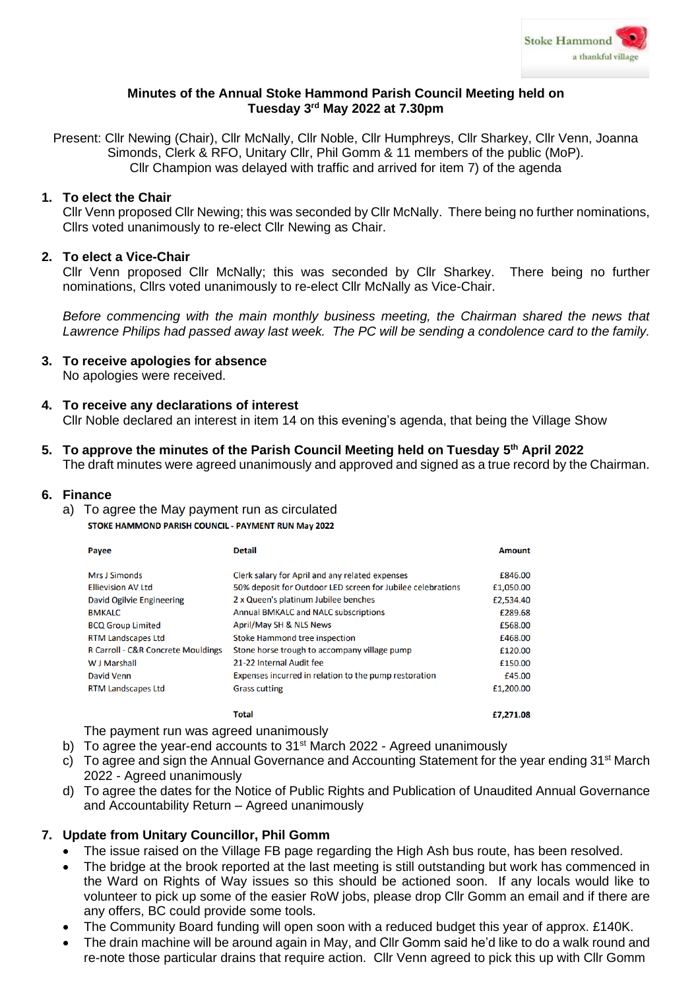

## **Minutes of the Annual Stoke Hammond Parish Council Meeting held on Tuesday 3 rd May 2022 at 7.30pm**

Present: Cllr Newing (Chair), Cllr McNally, Cllr Noble, Cllr Humphreys, Cllr Sharkey, Cllr Venn, Joanna Simonds, Clerk & RFO, Unitary Cllr, Phil Gomm & 11 members of the public (MoP). Cllr Champion was delayed with traffic and arrived for item 7) of the agenda

#### **1. To elect the Chair**

Cllr Venn proposed Cllr Newing; this was seconded by Cllr McNally. There being no further nominations, Cllrs voted unanimously to re-elect Cllr Newing as Chair.

#### **2. To elect a Vice-Chair**

Cllr Venn proposed Cllr McNally; this was seconded by Cllr Sharkey. There being no further nominations, Cllrs voted unanimously to re-elect Cllr McNally as Vice-Chair.

*Before commencing with the main monthly business meeting, the Chairman shared the news that Lawrence Philips had passed away last week. The PC will be sending a condolence card to the family.*

- **3. To receive apologies for absence** No apologies were received.
- **4. To receive any declarations of interest**

Cllr Noble declared an interest in item 14 on this evening's agenda, that being the Village Show

**5. To approve the minutes of the Parish Council Meeting held on Tuesday 5 th April 2022**

The draft minutes were agreed unanimously and approved and signed as a true record by the Chairman.

#### **6. Finance**

- a) To agree the May payment run as circulated
	- STOKE HAMMOND PARISH COUNCIL PAYMENT RUN May 2022

| Payee                                         | <b>Detail</b>                                               | Amount    |
|-----------------------------------------------|-------------------------------------------------------------|-----------|
| <b>Mrs J Simonds</b>                          | Clerk salary for April and any related expenses             | £846.00   |
| <b>Ellievision AV Ltd</b>                     | 50% deposit for Outdoor LED screen for Jubilee celebrations | £1,050.00 |
| David Ogilvie Engineering                     | 2 x Queen's platinum Jubilee benches                        | £2,534.40 |
| <b>BMKALC</b>                                 | <b>Annual BMKALC and NALC subscriptions</b>                 | £289.68   |
| <b>BCQ Group Limited</b>                      | April/May SH & NLS News                                     | £568.00   |
| <b>RTM Landscapes Ltd</b>                     | <b>Stoke Hammond tree inspection</b>                        | £468.00   |
| <b>R Carroll - C&amp;R Concrete Mouldings</b> | Stone horse trough to accompany village pump                | £120.00   |
| W J Marshall                                  | 21-22 Internal Audit fee                                    | £150.00   |
| David Venn                                    | Expenses incurred in relation to the pump restoration       | £45.00    |
| <b>RTM Landscapes Ltd</b>                     | <b>Grass cutting</b>                                        | £1,200.00 |

**Total** 

The payment run was agreed unanimously

- b) To agree the year-end accounts to  $31<sup>st</sup>$  March 2022 Agreed unanimously
- c) To agree and sign the Annual Governance and Accounting Statement for the year ending 31<sup>st</sup> March 2022 - Agreed unanimously

£7,271.08

d) To agree the dates for the Notice of Public Rights and Publication of Unaudited Annual Governance and Accountability Return – Agreed unanimously

### **7. Update from Unitary Councillor, Phil Gomm**

- The issue raised on the Village FB page regarding the High Ash bus route, has been resolved.
- The bridge at the brook reported at the last meeting is still outstanding but work has commenced in the Ward on Rights of Way issues so this should be actioned soon. If any locals would like to volunteer to pick up some of the easier RoW jobs, please drop Cllr Gomm an email and if there are any offers, BC could provide some tools.
- The Community Board funding will open soon with a reduced budget this year of approx. £140K.
- The drain machine will be around again in May, and Cllr Gomm said he'd like to do a walk round and re-note those particular drains that require action. Cllr Venn agreed to pick this up with Cllr Gomm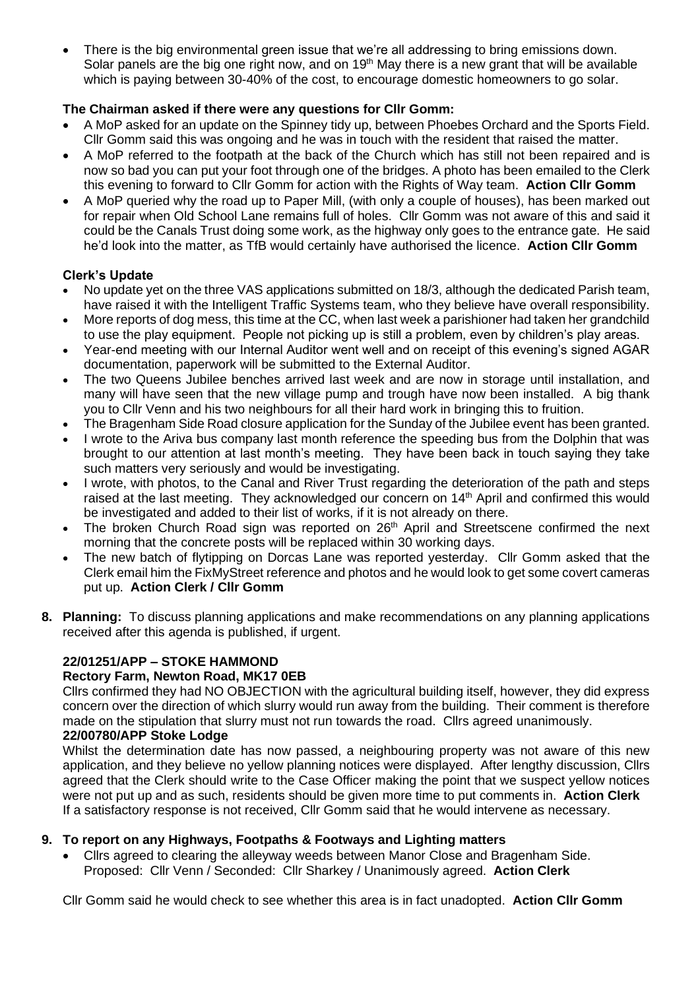There is the big environmental green issue that we're all addressing to bring emissions down. Solar panels are the big one right now, and on 19<sup>th</sup> May there is a new grant that will be available which is paying between 30-40% of the cost, to encourage domestic homeowners to go solar.

## **The Chairman asked if there were any questions for Cllr Gomm:**

- A MoP asked for an update on the Spinney tidy up, between Phoebes Orchard and the Sports Field. Cllr Gomm said this was ongoing and he was in touch with the resident that raised the matter.
- A MoP referred to the footpath at the back of the Church which has still not been repaired and is now so bad you can put your foot through one of the bridges. A photo has been emailed to the Clerk this evening to forward to Cllr Gomm for action with the Rights of Way team. **Action Cllr Gomm**
- A MoP queried why the road up to Paper Mill, (with only a couple of houses), has been marked out for repair when Old School Lane remains full of holes. Cllr Gomm was not aware of this and said it could be the Canals Trust doing some work, as the highway only goes to the entrance gate. He said he'd look into the matter, as TfB would certainly have authorised the licence. **Action Cllr Gomm**

## **Clerk's Update**

- No update yet on the three VAS applications submitted on 18/3, although the dedicated Parish team, have raised it with the Intelligent Traffic Systems team, who they believe have overall responsibility.
- More reports of dog mess, this time at the CC, when last week a parishioner had taken her grandchild to use the play equipment. People not picking up is still a problem, even by children's play areas.
- Year-end meeting with our Internal Auditor went well and on receipt of this evening's signed AGAR documentation, paperwork will be submitted to the External Auditor.
- The two Queens Jubilee benches arrived last week and are now in storage until installation, and many will have seen that the new village pump and trough have now been installed. A big thank you to Cllr Venn and his two neighbours for all their hard work in bringing this to fruition.
- The Bragenham Side Road closure application for the Sunday of the Jubilee event has been granted.
- I wrote to the Ariva bus company last month reference the speeding bus from the Dolphin that was brought to our attention at last month's meeting. They have been back in touch saying they take such matters very seriously and would be investigating.
- I wrote, with photos, to the Canal and River Trust regarding the deterioration of the path and steps raised at the last meeting. They acknowledged our concern on  $14<sup>th</sup>$  April and confirmed this would be investigated and added to their list of works, if it is not already on there.
- The broken Church Road sign was reported on 26<sup>th</sup> April and Streetscene confirmed the next morning that the concrete posts will be replaced within 30 working days.
- The new batch of flytipping on Dorcas Lane was reported yesterday. Cllr Gomm asked that the Clerk email him the FixMyStreet reference and photos and he would look to get some covert cameras put up. **Action Clerk / Cllr Gomm**
- **8. Planning:** To discuss planning applications and make recommendations on any planning applications received after this agenda is published, if urgent.

# **22/01251/APP – STOKE HAMMOND**

### **Rectory Farm, Newton Road, MK17 0EB**

Cllrs confirmed they had NO OBJECTION with the agricultural building itself, however, they did express concern over the direction of which slurry would run away from the building. Their comment is therefore made on the stipulation that slurry must not run towards the road. Cllrs agreed unanimously.

## **22/00780/APP Stoke Lodge**

Whilst the determination date has now passed, a neighbouring property was not aware of this new application, and they believe no yellow planning notices were displayed. After lengthy discussion, Cllrs agreed that the Clerk should write to the Case Officer making the point that we suspect yellow notices were not put up and as such, residents should be given more time to put comments in. **Action Clerk** If a satisfactory response is not received, Cllr Gomm said that he would intervene as necessary.

### **9. To report on any Highways, Footpaths & Footways and Lighting matters**

• Cllrs agreed to clearing the alleyway weeds between Manor Close and Bragenham Side. Proposed: Cllr Venn / Seconded: Cllr Sharkey / Unanimously agreed. **Action Clerk**

Cllr Gomm said he would check to see whether this area is in fact unadopted. **Action Cllr Gomm**